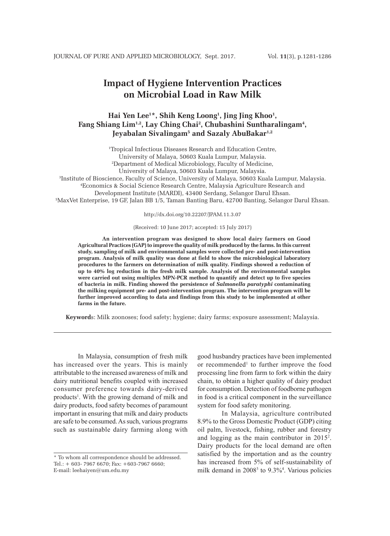# **Impact of Hygiene Intervention Practices on Microbial Load in Raw Milk**

# **Hai Yen Lee1 \*, Shih Keng Loong1 , Jing Jing Khoo1 , Fang Shiang Lim1,2, Lay Ching Chai2 , Chubashini Suntharalingam4 , Jeyabalan Sivalingam5 and Sazaly AbuBakar1,2**

 Tropical Infectious Diseases Research and Education Centre, University of Malaya, 50603 Kuala Lumpur, Malaysia. Department of Medical Microbiology, Faculty of Medicine, University of Malaya, 50603 Kuala Lumpur, Malaysia. Institute of Bioscience, Faculty of Science, University of Malaya, 50603 Kuala Lumpur, Malaysia. Economics & Social Science Research Centre, Malaysia Agriculture Research and Development Institute (MARDI), 43400 Serdang, Selangor Darul Ehsan. MaxVet Enterprise, 19 GF, Jalan BB 1/5, Taman Banting Baru, 42700 Banting, Selangor Darul Ehsan.

http://dx.doi.org/10.22207/JPAM.11.3.07

### (Received: 10 June 2017; accepted: 15 July 2017)

**An intervention program was designed to show local dairy farmers on Good Agricultural Practices (GAP) to improve the quality of milk produced by the farms. In this current study, sampling of milk and environmental samples were collected pre- and post-intervention program. Analysis of milk quality was done at field to show the microbiological laboratory procedures to the farmers on determination of milk quality. Findings showed a reduction of up to 40% log reduction in the fresh milk sample. Analysis of the environmental samples were carried out using multiplex MPN-PCR method to quantify and detect up to five species of bacteria in milk. Finding showed the persistence of** *Salmonella paratyphi* **contaminating the milking equipment pre- and post-intervention program. The intervention program will be further improved according to data and findings from this study to be implemented at other farms in the future.**

**Keyword**s: Milk zoonoses; food safety; hygiene; dairy farms; exposure assessment; Malaysia.

In Malaysia, consumption of fresh milk has increased over the years. This is mainly attributable to the increased awareness of milk and dairy nutritional benefits coupled with increased consumer preference towards dairy-derived products<sup>1</sup>. With the growing demand of milk and dairy products, food safety becomes of paramount important in ensuring that milk and dairy products are safe to be consumed. As such, various programs such as sustainable dairy farming along with

good husbandry practices have been implemented or recommended<sup>1</sup> to further improve the food processing line from farm to fork within the dairy chain, to obtain a higher quality of dairy product for consumption. Detection of foodborne pathogen in food is a critical component in the surveillance system for food safety monitoring.

In Malaysia, agriculture contributed 8.9% to the Gross Domestic Product (GDP) citing oil palm, livestock, fishing, rubber and forestry and logging as the main contributor in 20152 . Dairy products for the local demand are often satisfied by the importation and as the country has increased from 5% of self-sustainability of milk demand in 2008<sup>3</sup> to 9.3%<sup>4</sup>. Various policies

<sup>\*</sup> To whom all correspondence should be addressed. Tel.: + 603- 7967 6670; Fax: +603-7967 6660; E-mail: leehaiyen@um.edu.my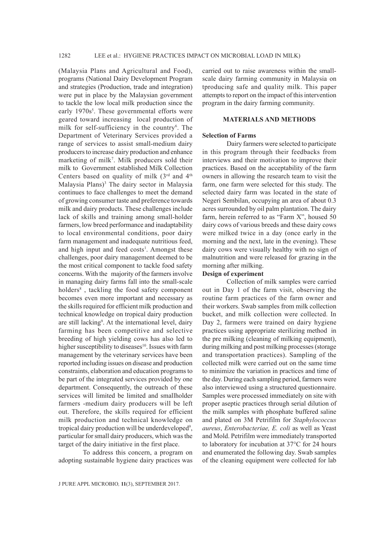(Malaysia Plans and Agricultural and Food), programs (National Dairy Development Program and strategies (Production, trade and integration) were put in place by the Malaysian government to tackle the low local milk production since the early 1970s<sup>5</sup>. These governmental efforts were geared toward increasing local production of milk for self-sufficiency in the country<sup>6</sup>. The Department of Veterinary Services provided a range of services to assist small-medium dairy producers to increase dairy production and enhance marketing of milk<sup>7</sup>. Milk producers sold their milk to Government established Milk Collection Centers based on quality of milk  $(3^{rd}$  and  $4^{th}$ Malaysia Plans)<sup>3</sup> The dairy sector in Malaysia continues to face challenges to meet the demand of growing consumer taste and preference towards milk and dairy products. These challenges include lack of skills and training among small-holder farmers, low breed performance and inadaptability to local environmental conditions, poor dairy farm management and inadequate nutritious feed, and high input and feed costs<sup>1</sup>. Amongst these challenges, poor dairy management deemed to be the most critical component to tackle food safety concerns. With the majority of the farmers involve in managing dairy farms fall into the small-scale holders<sup>8</sup>, tackling the food safety component becomes even more important and necessary as the skills required for efficient milk production and technical knowledge on tropical dairy production are still lacking<sup>9</sup>. At the international level, dairy farming has been competitive and selective breeding of high yielding cows has also led to higher susceptibility to diseases<sup>10</sup>. Issues with farm management by the veterinary services have been reported including issues on disease and production constraints, elaboration and education programs to be part of the integrated services provided by one department. Consequently, the outreach of these services will limited be limited and smallholder farmers -medium dairy producers will be left out. Therefore, the skills required for efficient milk production and technical knowledge on tropical dairy production will be underdeveloped<sup>9</sup>, particular for small dairy producers, which was the target of the dairy initiative in the first place.

To address this concern, a program on adopting sustainable hygiene dairy practices was carried out to raise awareness within the smallscale dairy farming community in Malaysia on tproducing safe and quality milk. This paper attempts to report on the impact of this intervention program in the dairy farming community.

### **MATERIALS AND METHODS**

#### **Selection of Farms**

Dairy farmers were selected to participate in this program through their feedbacks from interviews and their motivation to improve their practices. Based on the acceptability of the farm owners in allowing the research team to visit the farm, one farm were selected for this study. The selected dairy farm was located in the state of Negeri Sembilan, occupying an area of about 0.3 acres surrounded by oil palm plantation. The dairy farm, herein referred to as "Farm X", housed 50 dairy cows of various breeds and these dairy cows were milked twice in a day (once early in the morning and the next, late in the evening). These dairy cows were visually healthy with no sign of malnutrition and were released for grazing in the morning after milking.

### **Design of experiment**

Collection of milk samples were carried out in Day 1 of the farm visit, observing the routine farm practices of the farm owner and their workers. Swab samples from milk collection bucket, and milk collection were collected. In Day 2, farmers were trained on dairy hygiene practices using appropriate sterilizing method in the pre milking (cleaning of milking equipment), during milking and post milking processes (storage and transportation practices). Sampling of the collected milk were carried out on the same time to minimize the variation in practices and time of the day. During each sampling period, farmers were also interviewed using a structured questionnaire. Samples were processed immediately on site with proper aseptic practices through serial dilution of the milk samples with phosphate buffered saline and plated on 3M Petrifilm for *Staphylococcus aureus*, *Enterobacteriae, E. coli* as well as Yeast and Mold. Petrifilm were immediately transported to laboratory for incubation at 37°C for 24 hours and enumerated the following day. Swab samples of the cleaning equipment were collected for lab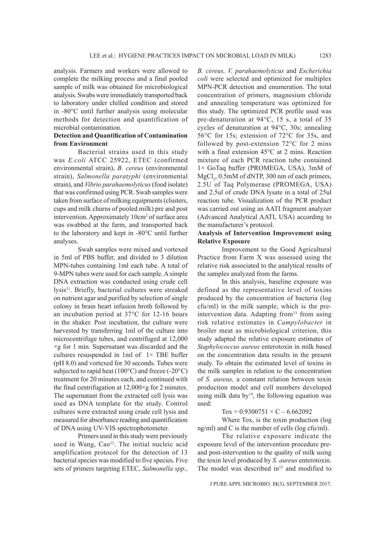analysis. Farmers and workers were allowed to complete the milking process and a final pooled sample of milk was obtained for microbiological analysis. Swabs were immediately transported back to laboratory under chilled condition and stored in -80°C until further analysis using molecular methods for detection and quantification of microbial contamination.

## **Detection and Quantification of Contamination from Environment**

Bacterial strains used in this study was *E.coli* ATCC 25922, ETEC (confirmed environmental strain), *B. cereus* (environmental strain), *Salmonella paratyphi* (environmental strain), and *Vibrio parahaemolyticus* (food isolate) that was confirmed using PCR. Swab samples were taken from surface of milking equipments (clusters, cups and milk churns of pooled milk) pre and post intervention. Approximately 10cm<sup>2</sup> of surface area was swabbed at the farm, and transported back to the laboratory and kept in -80°C until further analyses.

Swab samples were mixed and vortexed in 5ml of PBS buffer, and divided to 3 dilution MPN-tubes containing 1ml each tube. A total of 9-MPN tubes were used for each sample. A simple DNA extraction was conducted using crude cell lysis<sup>11</sup>. Briefly, bacterial cultures were streaked on nutrient agar and purified by selection of single colony in brain heart infusion broth followed by an incubation period at 37°C for 12-16 hours in the shaker. Post incubation, the culture were harvested by transferring 1ml of the culture into microcentrifuge tubes, and centrifuged at 12,000  $\times$ g for 1 min. Supernatant was discarded and the cultures resuspended in 1ml of  $1 \times$  TBE buffer (pH 8.0) and vortexed for 30 seconds. Tubes were subjected to rapid heat ( $100^{\circ}$ C) and freeze (-20 $^{\circ}$ C) treatment for 20 minutes each, and continued with the final centrifugation at 12,000×g for 2 minutes. The supernatant from the extracted cell lysis was used as DNA template for the study. Control cultures were extracted using crude cell lysis and measured for absorbance reading and quantification of DNA using UV-VIS spectrophotometer.

Primers used in this study were previously used in Wang, Cao<sup>12</sup>. The initial nucleic acid amplification protocol for the detection of 13 bacterial species was modified to five species. Five sets of primers targeting ETEC, *Salmonella spp.,* 

*B. cereus, V. parahaemolyticus* and *Escherichia coli* were selected and optimized for multiplex MPN-PCR detection and enumeration. The total concentration of primers, magnesium chloride and annealing temperature was optimized for this study. The optimized PCR profile used was pre-denaturation at 94°C, 15 s, a total of 35 cycles of denaturation at 94°C, 30s; annealing 56°C for 15s; extension of 72°C for 35s, and followed by post-extension 72°C for 2 mins with a final extension 45°C at 2 mins. Reaction mixture of each PCR reaction tube contained 1× GoTaq buffer (PROMEGA, USA), 3mM of MgCl<sub>2</sub>, 0.5mM of dNTP, 300 nm of each primers, 2.5U of Taq Polymerase (PROMEGA, USA) and 2.5ul of crude DNA lysate in a total of 25ul reaction tube. Visualization of the PCR product was carried out using an AATI fragment analyzer (Advanced Analytical AATI, USA) according to the manufacturer's protocol.

# **Analysis of Intervention Improvement using Relative Exposure**

Improvement to the Good Agricultural Practice from Farm X was assessed using the relative risk associated to the analytical results of the samples analyzed from the farms.

In this analysis, baseline exposure was defined as the representative level of toxins produced by the concentration of bacteria (log cfu/ml) in the milk sample, which is the preintervention data. Adapting from<sup>13</sup> from using risk relative estimates in *Campylobacter* in broiler meat as microbiological criterion, this study adapted the relative exposure estimates of *Staphylococcus aureus* enterotoxin in milk based on the concentration data results in the present study. To obtain the estimated level of toxins in the milk samples in relation to the concentration of *S. aureus,* a constant relation between toxin production model and cell numbers developed using milk data by $14$ , the following equation was used:

# $Tox = 0.9300751 \times C - 6.662092$

Where Tox, is the toxin production (log ng/ml) and C is the number of cells (log cfu/ml).

The relative exposure indicate the exposure level of the intervention procedure preand post-intervention to the quality of milk using the toxin level produced by *S. aureus* enterotoxin. The model was described in $15$  and modified to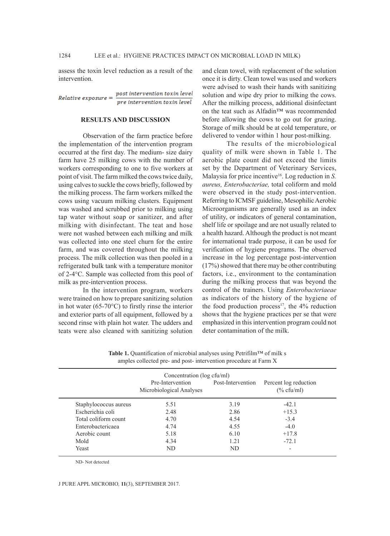assess the toxin level reduction as a result of the intervention.

 $Relative exposure = \frac{post\ intervention\ toxin\ level}{pre\ interaction\ to\ x\ in\ level}$ pre intervention toxin level

#### **RESULTS AND DISCUSSION**

Observation of the farm practice before the implementation of the intervention program occurred at the first day. The medium- size dairy farm have 25 milking cows with the number of workers corresponding to one to five workers at point of visit. The farm milked the cows twice daily, using calves to suckle the cows briefly, followed by the milking process. The farm workers milked the cows using vacuum milking clusters. Equipment was washed and scrubbed prior to milking using tap water without soap or sanitizer, and after milking with disinfectant. The teat and hose were not washed between each milking and milk was collected into one steel churn for the entire farm, and was covered throughout the milking process. The milk collection was then pooled in a refrigerated bulk tank with a temperature monitor of 2-4°C. Sample was collected from this pool of milk as pre-intervention process.

In the intervention program, workers were trained on how to prepare sanitizing solution in hot water (65-70°C) to firstly rinse the interior and exterior parts of all equipment, followed by a second rinse with plain hot water. The udders and teats were also cleaned with sanitizing solution and clean towel, with replacement of the solution once it is dirty. Clean towel was used and workers were advised to wash their hands with sanitizing solution and wipe dry prior to milking the cows. After the milking process, additional disinfectant on the teat such as Alfadin™ was recommended before allowing the cows to go out for grazing. Storage of milk should be at cold temperature, or delivered to vendor within 1 hour post-milking.

The results of the microbiological quality of milk were shown in Table 1. The aerobic plate count did not exceed the limits set by the Department of Veterinary Services, Malaysia for price incentive<sup>16</sup>. Log reduction in *S*. *aureus, Enterobacteriae,* total coliform and mold were observed in the study post-intervention. Referring to ICMSF guideline, Mesophilic Aerobic Microorganisms are generally used as an index of utility, or indicators of general contamination, shelf life or spoilage and are not usually related to a health hazard. Although the product is not meant for international trade purpose, it can be used for verification of hygiene programs. The observed increase in the log percentage post-intervention (17%) showed that there may be other contributing factors, i.e., environment to the contamination during the milking process that was beyond the control of the trainers. Using *Enterobacteriaeae* as indicators of the history of the hygiene of the food production process<sup>17</sup>, the  $4\%$  reduction shows that the hygiene practices per se that were emphasized in this intervention program could not deter contamination of the milk.

**Table 1.** Quantification of microbial analyses using Petrifilm™ of milk s amples collected pre- and post- intervention procedure at Farm X

|                       | Concentration (log cfu/ml)                   |                   |                                        |
|-----------------------|----------------------------------------------|-------------------|----------------------------------------|
|                       | Pre-Intervention<br>Microbiological Analyses | Post-Intervention | Percent log reduction<br>$(\%$ cfu/ml) |
| Staphylococcus aureus | 5.51                                         | 3.19              | $-42.1$                                |
| Escherichia coli      | 2.48                                         | 2.86              | $+15.3$                                |
| Total coliform count  | 4.70                                         | 4.54              | $-3.4$                                 |
| Enterobactericaea     | 4.74                                         | 4.55              | $-4.0$                                 |
| Aerobic count         | 5.18                                         | 6.10              | $+17.8$                                |
| Mold                  | 4.34                                         | 1.21              | $-72.1$                                |
| Yeast                 | ND.                                          | ND                | $\overline{\phantom{0}}$               |

ND- Not detected

#### J PURE APPL MICROBIO*,* **11**(3), SEPTEMBER 2017.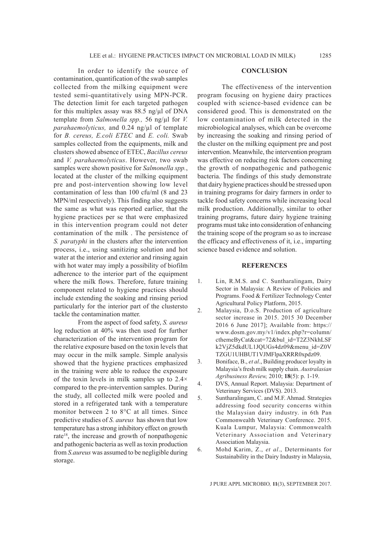In order to identify the source of contamination, quantification of the swab samples collected from the milking equipment were tested semi-quantitatively using MPN-PCR. The detection limit for each targeted pathogen for this multiplex assay was 88.5 ng/µl of DNA template from *Salmonella spp.,* 56 ng/µl for *V. parahaemolyticus,* and 0.24 ng/µl of template for *B. cereus, E.coli ETEC* and *E. coli.* Swab samples collected from the equipments, milk and clusters showed absence of ETEC, *Bacillus cereus* and *V. parahaemolyticus*. However, two swab samples were shown positive for *Salmonella spp.*, located at the cluster of the milking equipment pre and post-intervention showing low level contamination of less than 100 cfu/ml (8 and 23 MPN/ml respectively). This finding also suggests the same as what was reported earlier, that the hygiene practices per se that were emphasized in this intervention program could not deter contamination of the milk . The persistence of *S. paratyphi* in the clusters after the intervention process, i.e., using sanitizing solution and hot water at the interior and exterior and rinsing again with hot water may imply a possibility of biofilm adherence to the interior part of the equipment where the milk flows. Therefore, future training component related to hygiene practices should include extending the soaking and rinsing period particularly for the interior part of the clustersto tackle the contamination matter.

From the aspect of food safety, *S. aureus*  log reduction at 40% was then used for further characterization of the intervention program for the relative exposure based on the toxin levels that may occur in the milk sample. Simple analysis showed that the hygiene practices emphasized in the training were able to reduce the exposure of the toxin levels in milk samples up to 2.4× compared to the pre-intervention samples. During the study, all collected milk were pooled and stored in a refrigerated tank with a temperature monitor between 2 to 8°C at all times. Since predictive studies of *S. aureus* has shown that low temperature has a strong inhibitory effect on growth rate<sup>18</sup>, the increase and growth of nonpathogenic and pathogenic bacteria as well as toxin production from *S.aureus* was assumed to be negligible during storage.

### **CONCLUSION**

The effectiveness of the intervention program focusing on hygiene dairy practices coupled with science-based evidence can be considered good. This is demonstrated on the low contamination of milk detected in the microbiological analyses, which can be overcome by increasing the soaking and rinsing period of the cluster on the milking equipment pre and post intervention. Meanwhile, the intervention program was effective on reducing risk factors concerning the growth of nonpathogenic and pathogenic bacteria. The findings of this study demonstrate that dairy hygiene practices should be stressed upon in training programs for dairy farmers in order to tackle food safety concerns while increasing local milk production. Additionally, similar to other training programs, future dairy hygiene training programs must take into consideration of enhancing the training scope of the program so as to increase the efficacy and effectiveness of it, i.e., imparting science based evidence and solution.

### **REFERENCES**

- 1. Lin, R.M.S. and C. Suntharalingam, Dairy Sector in Malaysia: A Review of Policies and Programs. Food & Fertilizer Technology Center Agricultural Policy Platform, 2015.
- 2. Malaysia, D.o.S. Production of agriculture sector increase in 2015. 2015 30 December 2016 6 June 2017]; Available from: https:// www.dosm.gov.my/v1/index.php?r=column/ cthemeByCat&cat=72&bul\_id=T2Z3NkhLSF k2VjZ5dkdUL1JQUGs4dz09&menu\_id=Z0V TZGU1UHBUT1VJMFlpaXRRR0xpdz09.
- 3. Boniface, B., *et al*., Building producer loyalty in Malaysia's fresh milk supply chain. *Australasian Agribusiness Review,* 2010; **18**(5): p. 1-19.
- 4. DVS, Annual Report. Malaysia: Department of Veterinary Services (DVS). 2013.
- 5. Suntharalingam, C. and M.F. Ahmad. Strategies addressing food security concerns within the Malaysian dairy industry. in 6th Pan Commonwealth Veterinary Conference. 2015. Kuala Lumpur, Malaysia: Commonwealth Veterinary Association and Veterinary Association Malaysia.
- 6. Mohd Karim, Z., *et al*., Determinants for Sustainability in the Dairy Industry in Malaysia,

J PURE APPL MICROBIO*,* **11**(3), SEPTEMBER 2017.